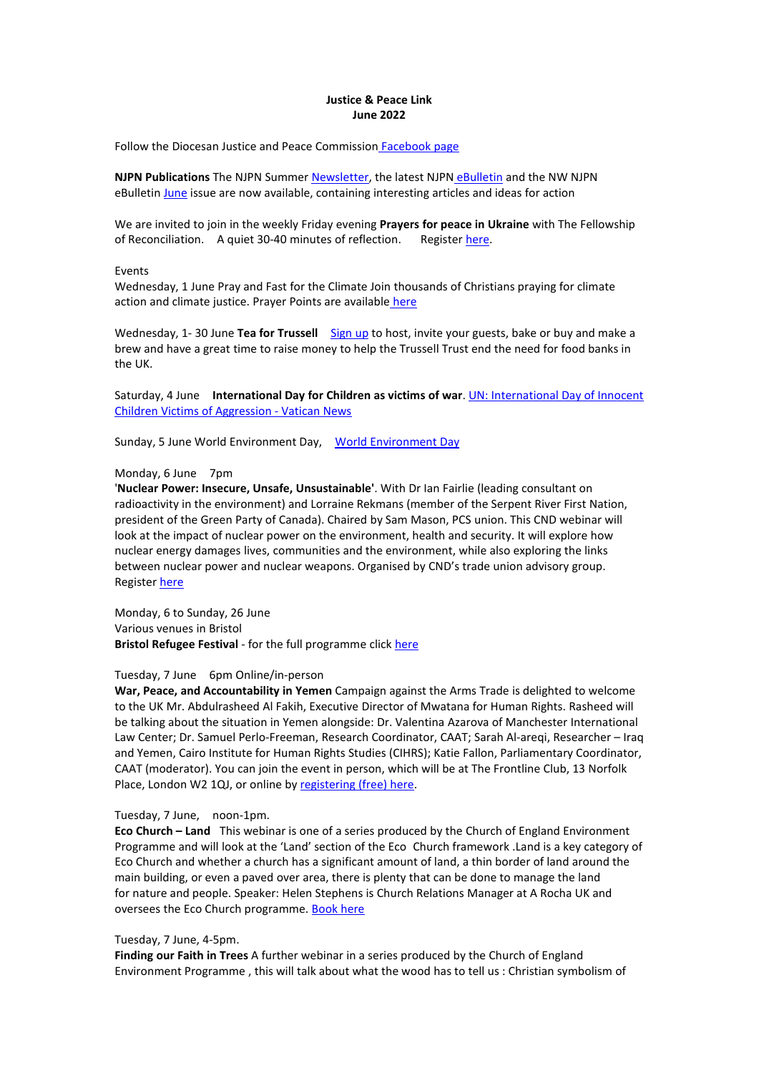# **Justice & Peace Link June 2022**

Follow the Diocesan Justice and Peace Commission [Facebook](https://www.facebook.com/CliftonJandP) page

**NJPN Publications** The NJPN Summer [Newsletter](https://www.justice-and-peace.org.uk/newsletters/summer-2022-njpn-newsletter/), the latest NJPN [eBulletin](https://www.justice-and-peace.org.uk/njpn-ebulletins/njpn-e-bulletin-22nd-may-2022/) and the NW NJPN eBulletin [June](https://www.justice-and-peace.org.uk/njpn-north-west/nw-njpn-justice-and-peace-ebulletin-june-2022/) issue are now available, containing interesting articles and ideas for action

We are invited to join in the weekly Friday evening **Prayers for peace in Ukraine** with The Fellowship of Reconciliation. A quiet 30-40 minutes of reflection. Register [here](https://paxchristi.us14.list-manage.com/track/click?u=abfa7f7be6d1179c653871765&id=1f2ab2059d&e=38da7f2f63).

Events

Wednesday, 1 June Pray and Fast for the Climate Join thousands of Christians praying for climate action and climate justice. Prayer Points are available [here](https://prayandfastfortheclimate.org.uk/2022/06/01/june-2022/)

Wednesday, 1- 30 June **Tea for Trussell** [Sign](https://www.trusselltrust.org/get-involved/fundraise/events/tea-for-trussell/?utm_source=sfmc&utm_medium=email&utm_campaign=T4T+-+CTA+1&utm_term=https:/www.trusselltrust.org/get-involved/fundraise/events/tea-for-trussell/&utm_id=194108&sfmc_id=96330533) up to host, invite your guests, bake or buy and make a brew and have a great time to raise money to help the Trussell Trust end the need for food banks in the UK.

Saturday, 4 June **International Day for Children as victims of war**. UN: [International](https://www.vaticannews.va/en/world/news/2020-06/united-nations-children-day-aggression-conflicts.html) Day of Innocent Children Victims of Aggression - Vatican News

Sunday, 5 June World Environment Day, World [Environment](https://www.worldenvironmentday.global/) Day

## Monday, 6 June 7pm

'**Nuclear Power: Insecure, Unsafe, Unsustainable'**. With Dr Ian Fairlie (leading consultant on radioactivity in the environment) and Lorraine Rekmans (member of the Serpent River First Nation, president of the Green Party of Canada). Chaired by Sam Mason, PCS union. This CND webinar will look at the impact of nuclear power on the environment, health and security. It will explore how nuclear energy damages lives, communities and the environment, while also exploring the links between nuclear power and nuclear weapons. Organised by CND's trade union advisory group. Register [here](https://cnduk.org/events/nuclear-power-insecure-unsafe-unsustainable/)

Monday, 6 to Sunday, 26 June Various venues in Bristol **Bristol Refugee Festival** - for the full programme click [here](https://www.bristolrefugeefestival.org/)

### Tuesday, 7 June 6pm Online/in-person

**War, Peace, and Accountability in Yemen** Campaign against the Arms Trade is delighted to welcome to the UK Mr. Abdulrasheed Al Fakih, Executive Director of Mwatana for Human Rights. Rasheed will be talking about the situation in Yemen alongside: Dr. Valentina Azarova of Manchester International Law Center; Dr. Samuel Perlo-Freeman, Research Coordinator, CAAT; Sarah Al-areqi, Researcher – Iraq and Yemen, Cairo Institute for Human Rights Studies (CIHRS); Katie Fallon, Parliamentary Coordinator, CAAT (moderator). You can join the event in person, which will be at The Frontline Club, 13 Norfolk Place, London W2 1QJ, or online by [registering](https://crm.caat.org.uk/civicrm/mailing/url?u=5700&qid=3260549) (free) here.

# Tuesday, 7 June, noon-1pm.

**Eco Church –Land** This webinar is one of a series produced by the Church of England Environment Programme and will look at the 'Land' section of the Eco [Church](https://churchofengland.us2.list-manage.com/track/click?u=50eac70851c7245ce1ce00c45&id=46403a8b91&e=c34d697991) framework .Land is a key category of Eco Church and whether a church has a significant amount of land, a thin border of land around the main building, or even a paved over area, there is plenty that can be done to manage the land for nature and people. Speaker: Helen Stephens is Church Relations Manager at A Rocha UK and oversees the Eco Church programme. [Book](https://churchofengland.us2.list-manage.com/track/click?u=50eac70851c7245ce1ce00c45&id=15e70c62d8&e=c34d697991) here

## Tuesday, 7 June, 4-5pm.

**Finding our Faith in Trees** A further webinar in a series produced by the Church of England Environment Programme , this will talk about what the wood has to tell us : Christian symbolism of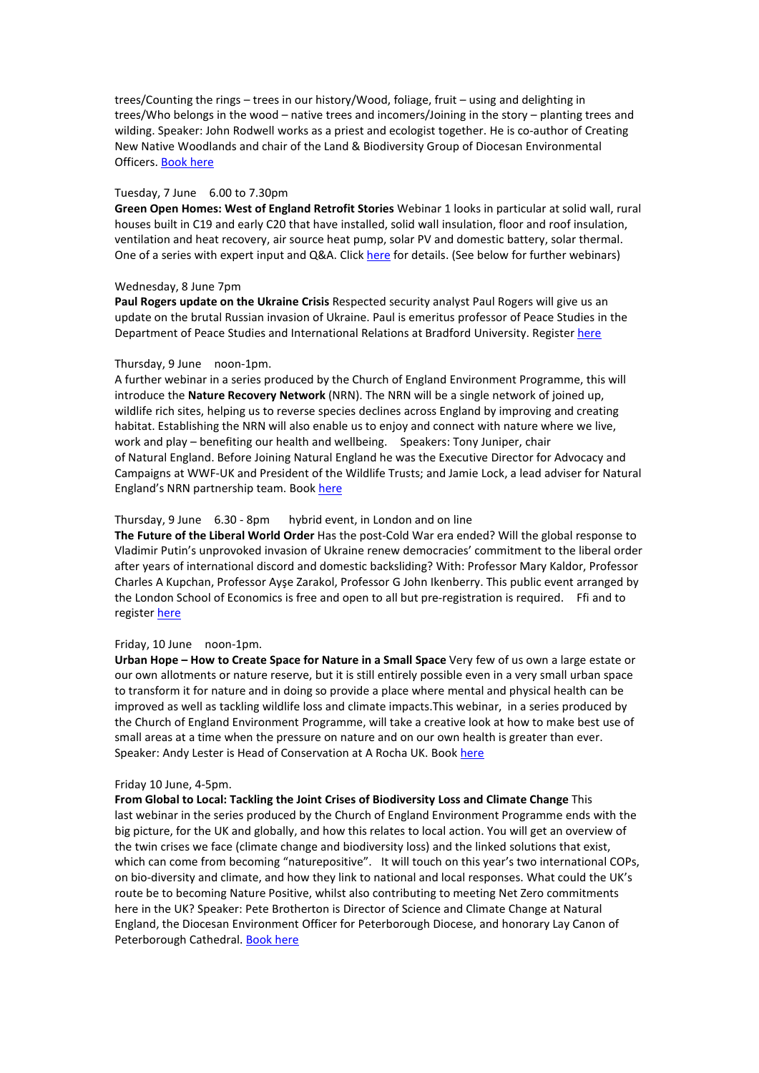trees/Counting the rings – trees in our history/Wood, foliage, fruit – using and delighting in trees/Who belongs in the wood – native trees and incomers/Joining in the story – planting trees and wilding. Speaker: John Rodwell works as a priest and ecologist together. He is co-author of Creating New Native Woodlands and chair of the Land & Biodiversity Group of Diocesan Environmental Officers. [Book](https://churchofengland.us2.list-manage.com/track/click?u=50eac70851c7245ce1ce00c45&id=9e4542d163&e=c34d697991) here

# Tuesday, 7 June 6.00 to 7.30pm

**Green Open Homes: West of England Retrofit Stories** Webinar 1 looks in particular at solid wall, rural houses built in C19 and early C20 that have installed, solid wall insulation, floor and roof insulation, ventilation and heat recovery, air source heat pump, solar PV and domestic battery, solar thermal. One of a series with expert input and Q&A. Click here for [details.](https://www.eventbrite.co.uk/e/green-open-homes-west-of-england-retrofit-stories-tickets-329772116277) (See below for further webinars)

# Wednesday, 8 June 7pm

**Paul Rogers update on the Ukraine Crisis Respected security analyst Paul Rogers will give us an** update on the brutal Russian invasion of Ukraine. Paul is emeritus professor of Peace Studies in the Department of Peace Studies and International Relations at Bradford University. Register [here](https://us06web.zoom.us/meeting/register/tZIqduGtrzgoHtXfNgo0rKnnjGssfl-orHMx)

### Thursday, 9 June noon-1pm.

A further webinar in a series produced by the Church of England Environment Programme, this will introduce the **Nature Recovery Network** (NRN). The NRN will bea single network of joined up, wildlife rich sites, helping us to reverse species declines across England by improving and creating habitat. Establishing the NRN will also enable us to enjoy and connect with nature where we live, work and play – benefiting our health and wellbeing. Speakers: Tony Juniper, chair of Natural England. Before Joining Natural England he was the Executive Director for Advocacy and Campaigns atWWF-UK and President of the Wildlife Trusts; and Jamie Lock, a lead adviser for Natural England's NRN partnership team. [Book](https://churchofengland.us2.list-manage.com/track/click?u=50eac70851c7245ce1ce00c45&id=4fd9c67b0d&e=c34d697991) here

# Thursday, 9 June 6.30 - 8pm hybrid event, in London and on line

**The Future of the Liberal World Order** Has the post-Cold War era ended? Will the global response to Vladimir Putin's unprovoked invasion of Ukraine renew democracies' commitment to the liberal order after years of international discord and domestic backsliding? With: Professor Mary Kaldor, Professor Charles A Kupchan, Professor Ayşe Zarakol, Professor G John Ikenberry. This public event arranged by the London School of Economics is free and open to all but pre-registration is required. Ffi and to register [here](https://www.lse.ac.uk/Events/2022/06/202206091830vSZT/world)

### Friday, 10 June noon-1pm.

**Urban Hope – How to Create Space for Nature in a Small Space** Very few of us own a large estate or our own allotments or nature reserve, but it is still entirely possible even in a very small urban space to transform it for nature and in doing so provide a place where mental and physical health can be improved as well as tackling wildlife loss and climate impacts.This webinar, in a series produced by the Church of England Environment Programme, will take a creative look athow to make best use of small areas at a time when the pressure on nature and on our own health is greater than ever. Speaker: Andy Lester is Head of Conservation at A Rocha UK. Book [here](https://us06web.zoom.us/webinar/register/WN_NtBrGM4GQtO3tDcJDwAw7w?mc_cid=e2321d3088&mc_eid=c34d697991)

#### Friday 10 June, 4-5pm.

**From Global to Local: Tackling the Joint Crises of Biodiversity Loss and Climate Change** This last webinar in the series produced by the Church of England Environment Programme ends with the big picture, for the UK and globally, and how this relates to local action. You will get an overview of the twin criseswe face (climate change and biodiversity loss) and the linked solutions that exist, which can come from becoming "naturepositive". It will touch on this year's two international COPs, on bio-diversity and climate, and how they link to national and local responses. What could the UK's route be to becoming Nature Positive, whilst also contributing to meeting Net Zero commitments here in the UK? Speaker: Pete Brotherton is Director of Science and Climate Change at Natural England, the Diocesan Environment Officer for Peterborough Diocese, and honorary Lay Canon of Peterborough Cathedral. [Book](https://churchofengland.us2.list-manage.com/track/click?u=50eac70851c7245ce1ce00c45&id=87e05713b0&e=c34d697991) here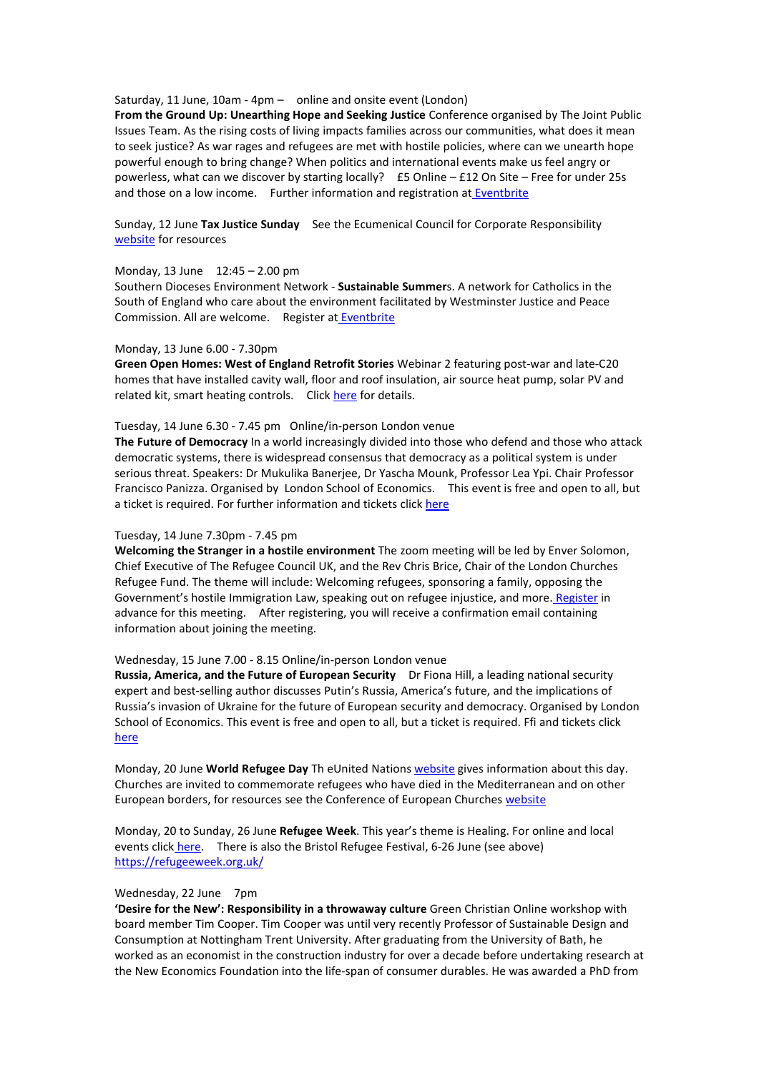Saturday, 11 June, 10am - 4pm – online and onsite event (London)

**From the Ground Up: Unearthing Hope and Seeking Justice** Conference organised by The Joint [Public](https://www.eventbrite.co.uk/o/the-joint-public-issues-team-27352674759) Issues Team. As the rising costs of living impacts families across our communities, what does it mean to seek justice? As war rages and refugees are met with hostile policies, where can we unearth hope powerful enough to bring change? When politics and international events make us feel angry or powerless, what can we discover by starting locally? £5 Online – £12 On Site – Free for under 25s and those on a low income. Further information and registration at [Eventbrite](https://www.eventbrite.co.uk/e/from-the-ground-up-unearthing-hope-and-seeking-justice-tickets-244501399267?aff=ebdsoporgprofile)

Sunday, 12 June **Tax Justice Sunday** See the Ecumenical Council for Corporate Responsibility [website](https://www.eccr.org.uk/tax-justice-sunday/) for resources

# Monday, 13 June 12:45 – 2.00 pm

Southern Dioceses Environment Network - **Sustainable Summer**s. A network for Catholics in the South of England who care about the environment facilitated by [Westminster](https://www.eventbrite.co.uk/o/westminster-justice-and-peace-commission-30667254532) Justice and Peace Commission. All are welcome. Register at [Eventbrite](https://www.eventbrite.co.uk/e/southern-dioceses-environment-network-sustainable-summers-tickets-300571967847)

#### Monday, 13 June 6.00 - 7.30pm

**Green Open Homes: West of England Retrofit Stories** [Webinar](http://www.eventbrite.co.uk/e/green-open-homes-west-of-england-retrofit-stories-tickets-329778776197) 2 featuring post-war and late-C20 homes that have installed cavity wall, floor and roof insulation, air source heat pump, solar PV and related kit, smart heating controls. Click here for [details.](https://www.eventbrite.co.uk/e/green-open-homes-west-of-england-retrofit-stories-tickets-329778776197)

# Tuesday, 14 June 6.30 - 7.45 pm Online/in-person London venue

**The Future of Democracy** In a world increasingly divided into those who defend and those who attack democratic systems, there is widespread consensus that democracy asa political system is under serious threat. Speakers: Dr Mukulika Banerjee, Dr Yascha Mounk, Professor Lea Ypi. Chair Professor Francisco Panizza. Organised by London School of Economics. This event is free and open to all, but a ticket is required. For further information and tickets click [here](https://www.lse.ac.uk/Events/LSE-Festival/2022/events/0614/democracy)

### Tuesday, 14 June 7.30pm - 7.45 pm

**Welcoming the Stranger in a hostile environment** The zoom meeting will be led by Enver Solomon, Chief Executive of The Refugee Council UK, and the Rev Chris Brice, Chair of the London Churches Refugee Fund. The theme will include: Welcoming refugees, sponsoring a family, opposing the Government's hostile Immigration Law, speaking out on refugee injustice, and more. [Register](https://us02web.zoom.us/meeting/register/tZAuceyoqTksG9cANMzU2SyQFVADmWhUCKNe) in advance for this meeting. After registering, you will receive a confirmation email containing information about joining the meeting.

# Wednesday, 15 June 7.00 - 8.15 Online/in-person London venue

**Russia, America, and the Future of European Security** Dr Fiona Hill, a leading national security expert and best-selling author discusses Putin's Russia, America's future, and the implications of Russia's invasion of Ukraine for the future of European security and democracy. Organised by London School of Economics. This event is free and open to all, but a ticket is required. Ffi and tickets click [here](https://www.lse.ac.uk/Events/LSE-Festival/2022/events/0615/america)

Monday, 20 June **World Refugee Day** Th eUnited Nations [website](https://www.un.org/en/observances/refugee-day) gives information about this day. Churches are invited to commemorate refugees who have died in the Mediterranean and on other European borders, for resources see the Conference of European Churches [website](https://www.ceceurope.org/churches-are-invited-to-commemorate-refugees-who-died-at-the-european-borders/)

Monday, 20 to Sunday, 26 June **Refugee Week**. This year's theme is Healing. For online and local events click [here.](https://refugeeweek.org.uk/events/) There is also the Bristol Refugee Festival, 6-26 June (see above) https://refugeeweek.org.uk/

### Wednesday, 22 June 7pm

**'Desire for the New': Responsibility in a throwaway culture** Green Christian Online workshop with board member Tim Cooper. Tim Cooper was until very recently Professor of Sustainable Design and Consumption at Nottingham Trent University. After graduating from the University of Bath, he worked as an economist in the construction industry for over a decade before undertaking research at the New Economics Foundation into the life-span of consumer durables. He was awarded a PhD from